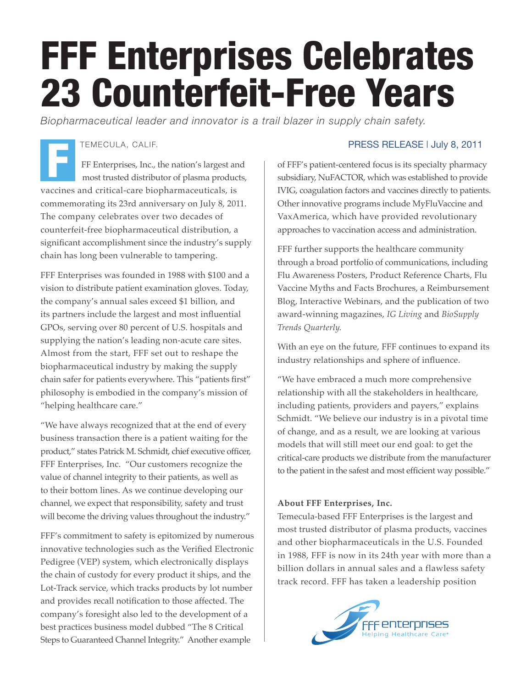## FFF Enterprises Celebrates 23 Counterfeit-Free Years

*Biopharmaceutical leader and innovator is a trail blazer in supply chain safety.*

## TEMECULA, CALIF.

FF Enterprises, Inc., the nation's largest and most trusted distributor of plasma products, vaccines and critical-care biopharmaceuticals, is commemorating its 23rd anniversary on July 8, 2011. The company celebrates over two decades of counterfeit-free biopharmaceutical distribution, a significant accomplishment since the industry's supply chain has long been vulnerable to tampering. F

FFF Enterprises was founded in 1988 with \$100 and a vision to distribute patient examination gloves. Today, the company's annual sales exceed \$1 billion, and its partners include the largest and most influential GPOs, serving over 80 percent of U.S. hospitals and supplying the nation's leading non-acute care sites. Almost from the start, FFF set out to reshape the biopharmaceutical industry by making the supply chain safer for patients everywhere. This "patients first" philosophy is embodied in the company's mission of "helping healthcare care."

"We have always recognized that at the end of every business transaction there is a patient waiting for the product," states Patrick M. Schmidt, chief executive officer, FFF Enterprises, Inc. "Our customers recognize the value of channel integrity to their patients, as well as to their bottom lines. As we continue developing our channel, we expect that responsibility, safety and trust will become the driving values throughout the industry."

FFF's commitment to safety is epitomized by numerous innovative technologies such as the Verified Electronic Pedigree (VEP) system, which electronically displays the chain of custody for every product it ships, and the Lot-Track service, which tracks products by lot number and provides recall notification to those affected. The company's foresight also led to the development of a best practices business model dubbed "The 8 Critical Steps to Guaranteed Channel Integrity." Another example

## PRESS RELEASE | July 8, 2011

of FFF's patient-centered focus is its specialty pharmacy subsidiary, NuFACTOR, which was established to provide IVIG, coagulation factors and vaccines directly to patients. Other innovative programs include MyFluVaccine and VaxAmerica, which have provided revolutionary approaches to vaccination access and administration.

FFF further supports the healthcare community through a broad portfolio of communications, including Flu Awareness Posters, Product Reference Charts, Flu Vaccine Myths and Facts Brochures, a Reimbursement Blog, Interactive Webinars, and the publication of two award-winning magazines, *IG Living* and *BioSupply Trends Quarterly.*

With an eye on the future, FFF continues to expand its industry relationships and sphere of influence.

"We have embraced a much more comprehensive relationship with all the stakeholders in healthcare, including patients, providers and payers," explains Schmidt. "We believe our industry is in a pivotal time of change, and as a result, we are looking at various models that will still meet our end goal: to get the critical-care products we distribute from the manufacturer to the patient in the safest and most efficient way possible."

## **About FFF Enterprises, Inc.**

Temecula-based FFF Enterprises is the largest and most trusted distributor of plasma products, vaccines and other biopharmaceuticals in the U.S. Founded in 1988, FFF is now in its 24th year with more than a billion dollars in annual sales and a flawless safety track record. FFF has taken a leadership position